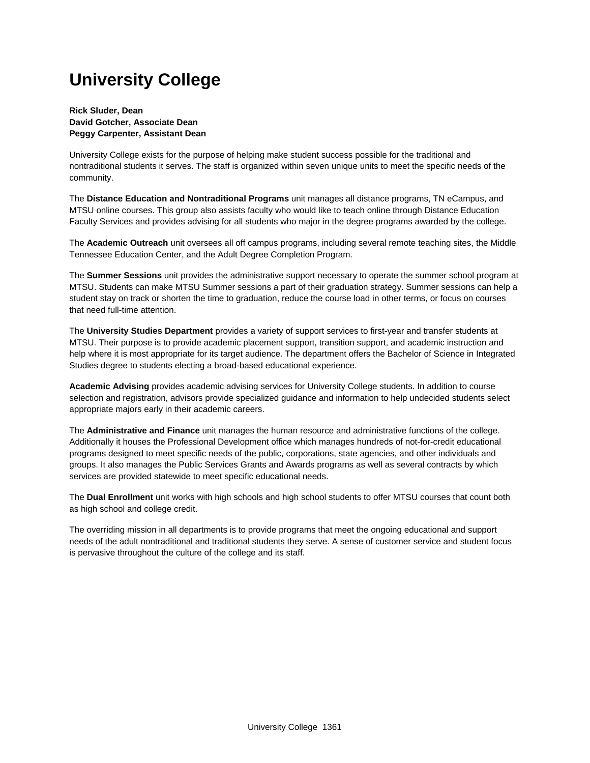# **University College**

**Rick Sluder, Dean David Gotcher, Associate Dean Peggy Carpenter, Assistant Dean**

University College exists for the purpose of helping make student success possible for the traditional and nontraditional students it serves. The staff is organized within seven unique units to meet the specific needs of the community.

The **Distance Education and Nontraditional Programs** unit manages all distance programs, TN eCampus, and MTSU online courses. This group also assists faculty who would like to teach online through Distance Education Faculty Services and provides advising for all students who major in the degree programs awarded by the college.

The **Academic Outreach** unit oversees all off campus programs, including several remote teaching sites, the Middle Tennessee Education Center, and the Adult Degree Completion Program.

The **Summer Sessions** unit provides the administrative support necessary to operate the summer school program at MTSU. Students can make MTSU Summer sessions a part of their graduation strategy. Summer sessions can help a student stay on track or shorten the time to graduation, reduce the course load in other terms, or focus on courses that need full-time attention.

The **University Studies Department** provides a variety of support services to first-year and transfer students at MTSU. Their purpose is to provide academic placement support, transition support, and academic instruction and help where it is most appropriate for its target audience. The department offers the Bachelor of Science in Integrated Studies degree to students electing a broad-based educational experience.

**Academic Advising** provides academic advising services for University College students. In addition to course selection and registration, advisors provide specialized guidance and information to help undecided students select appropriate majors early in their academic careers.

The **Administrative and Finance** unit manages the human resource and administrative functions of the college. Additionally it houses the Professional Development office which manages hundreds of not-for-credit educational programs designed to meet specific needs of the public, corporations, state agencies, and other individuals and groups. It also manages the Public Services Grants and Awards programs as well as several contracts by which services are provided statewide to meet specific educational needs.

The **Dual Enrollment** unit works with high schools and high school students to offer MTSU courses that count both as high school and college credit.

The overriding mission in all departments is to provide programs that meet the ongoing educational and support needs of the adult nontraditional and traditional students they serve. A sense of customer service and student focus is pervasive throughout the culture of the college and its staff.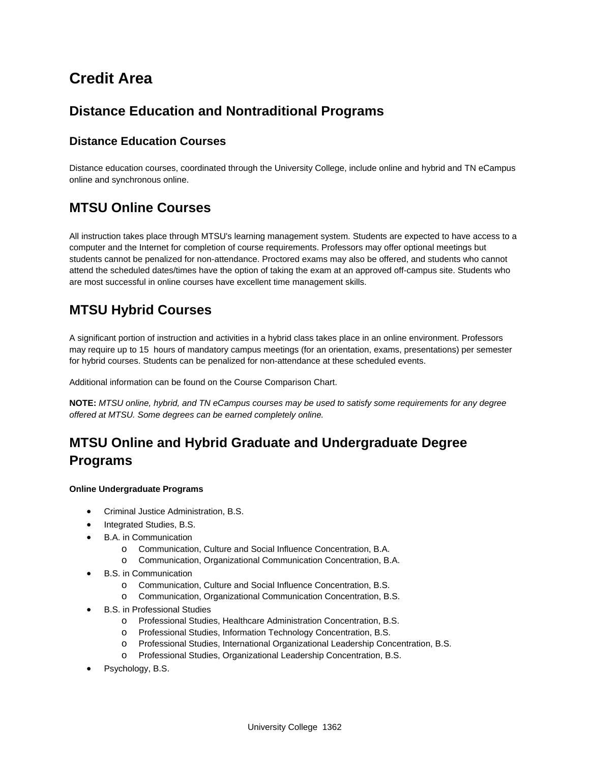# **Credit Area**

## **Distance Education and Nontraditional Programs**

## **Distance Education Courses**

Distance education courses, coordinated through the University College, include online and hybrid and TN eCampus online and synchronous online.

## **MTSU Online Courses**

All instruction takes place through MTSU's learning management system. Students are expected to have access to a computer and the Internet for completion of course requirements. Professors may offer optional meetings but students cannot be penalized for non-attendance. Proctored exams may also be offered, and students who cannot attend the scheduled dates/times have the option of taking the exam at an approved off-campus site. Students who are most successful in online courses have excellent time management skills.

## **MTSU Hybrid Courses**

A significant portion of instruction and activities in a hybrid class takes place in an online environment. Professors may require up to 15 hours of mandatory campus meetings (for an orientation, exams, presentations) per semester for hybrid courses. Students can be penalized for non-attendance at these scheduled events.

Additional information can be found on the Course Comparison Chart.

**NOTE:** *MTSU online, hybrid, and TN eCampus courses may be used to satisfy some requirements for any degree offered at MTSU. Some degrees can be earned completely online.*

# **MTSU Online and Hybrid Graduate and Undergraduate Degree Programs**

#### **Online Undergraduate Programs**

- Criminal Justice Administration, B.S.
- Integrated Studies, B.S.
- B.A. in Communication
	- o Communication, Culture and Social Influence Concentration, B.A.
	- o Communication, Organizational Communication Concentration, B.A.
- B.S. in Communication
	- o Communication, Culture and Social Influence Concentration, B.S.
	- o Communication, Organizational Communication Concentration, B.S.
- B.S. in Professional Studies
	- o Professional Studies, Healthcare Administration Concentration, B.S.
	- o Professional Studies, Information Technology Concentration, B.S.
	- o Professional Studies, International Organizational Leadership Concentration, B.S.
	- o Professional Studies, Organizational Leadership Concentration, B.S.
- Psychology, B.S.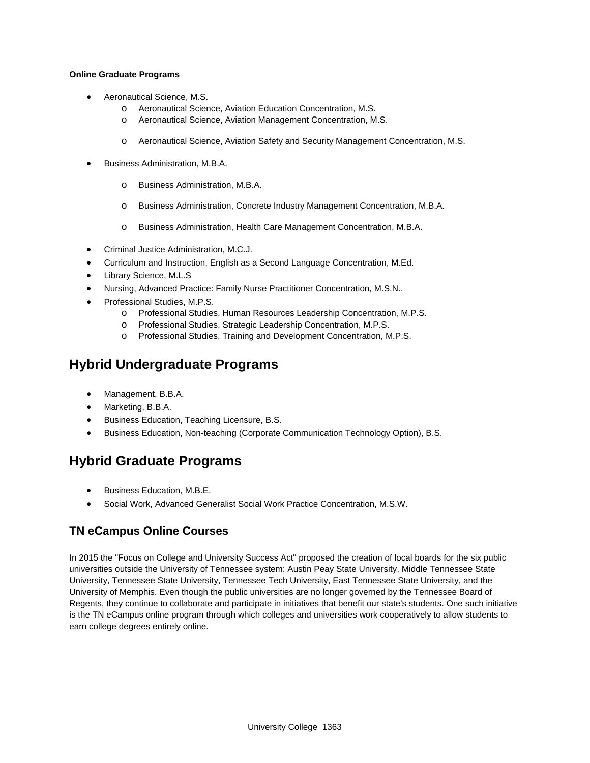#### **Online Graduate Programs**

- Aeronautical Science, M.S.
	- o Aeronautical Science, Aviation Education Concentration, M.S.
	- o Aeronautical Science, Aviation Management Concentration, M.S.
	- o Aeronautical Science, Aviation Safety and Security Management Concentration, M.S.
- Business Administration, M.B.A.
	- o Business Administration, M.B.A.
	- o Business Administration, Concrete Industry Management Concentration, M.B.A.
	- o Business Administration, Health Care Management Concentration, M.B.A.
- Criminal Justice Administration, M.C.J.
- Curriculum and Instruction, English as a Second Language Concentration, M.Ed.
- Library Science, M.L.S
- Nursing, Advanced Practice: Family Nurse Practitioner Concentration, M.S.N..
- Professional Studies, M.P.S.
	- o Professional Studies, Human Resources Leadership Concentration, M.P.S.
	- o Professional Studies, Strategic Leadership Concentration, M.P.S.
	- o Professional Studies, Training and Development Concentration, M.P.S.

## **Hybrid Undergraduate Programs**

- Management, B.B.A.
- Marketing, B.B.A.
- Business Education, Teaching Licensure, B.S.
- Business Education, Non-teaching (Corporate Communication Technology Option), B.S.

## **Hybrid Graduate Programs**

- Business Education, M.B.E.
- Social Work, Advanced Generalist Social Work Practice Concentration, M.S.W.

## **TN eCampus Online Courses**

In 2015 the "Focus on College and University Success Act" proposed the creation of local boards for the six public universities outside the University of Tennessee system: Austin Peay State University, Middle Tennessee State University, Tennessee State University, Tennessee Tech University, East Tennessee State University, and the University of Memphis. Even though the public universities are no longer governed by the Tennessee Board of Regents, they continue to collaborate and participate in initiatives that benefit our state's students. One such initiative is the TN eCampus online program through which colleges and universities work cooperatively to allow students to earn college degrees entirely online.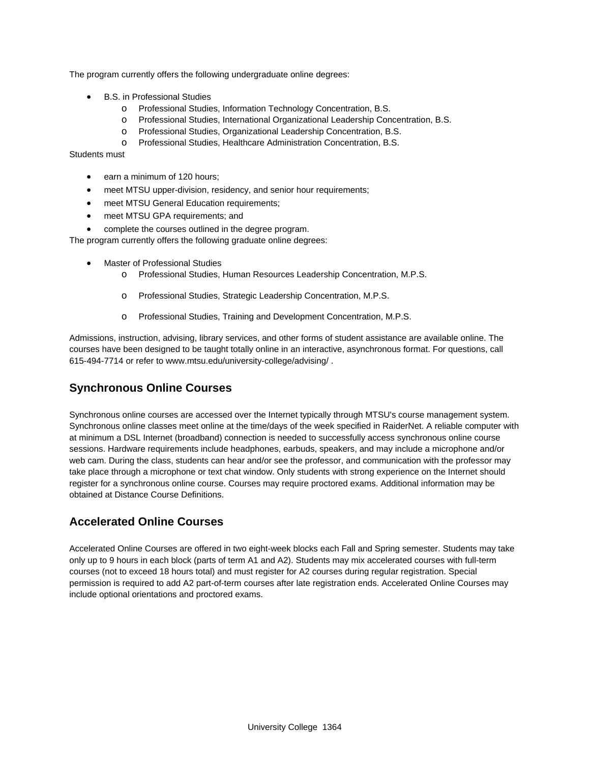The program currently offers the following undergraduate online degrees:

- B.S. in Professional Studies
	- o Professional Studies, Information Technology Concentration, B.S.
	- o Professional Studies, International Organizational Leadership Concentration, B.S.
	- o Professional Studies, Organizational Leadership Concentration, B.S.
	- o Professional Studies, Healthcare Administration Concentration, B.S.

Students must

- earn a minimum of 120 hours;
- meet MTSU upper-division, residency, and senior hour requirements;
- meet MTSU General Education requirements;
- meet MTSU GPA requirements; and
- complete the courses outlined in the degree program.

The program currently offers the following graduate online degrees:

- Master of Professional Studies
	- o Professional Studies, Human Resources Leadership Concentration, M.P.S.
	- o Professional Studies, Strategic Leadership Concentration, M.P.S.
	- o Professional Studies, Training and Development Concentration, M.P.S.

Admissions, instruction, advising, library services, and other forms of student assistance are available online. The courses have been designed to be taught totally online in an interactive, asynchronous format. For questions, call 615-494-7714 or refer to www.mtsu.edu/university-college/advising/ .

## **Synchronous Online Courses**

Synchronous online courses are accessed over the Internet typically through MTSU's course management system. Synchronous online classes meet online at the time/days of the week specified in RaiderNet. A reliable computer with at minimum a DSL Internet (broadband) connection is needed to successfully access synchronous online course sessions. Hardware requirements include headphones, earbuds, speakers, and may include a microphone and/or web cam. During the class, students can hear and/or see the professor, and communication with the professor may take place through a microphone or text chat window. Only students with strong experience on the Internet should register for a synchronous online course. Courses may require proctored exams. Additional information may be obtained at Distance Course Definitions.

## **Accelerated Online Courses**

Accelerated Online Courses are offered in two eight-week blocks each Fall and Spring semester. Students may take only up to 9 hours in each block (parts of term A1 and A2). Students may mix accelerated courses with full-term courses (not to exceed 18 hours total) and must register for A2 courses during regular registration. Special permission is required to add A2 part-of-term courses after late registration ends. Accelerated Online Courses may include optional orientations and proctored exams.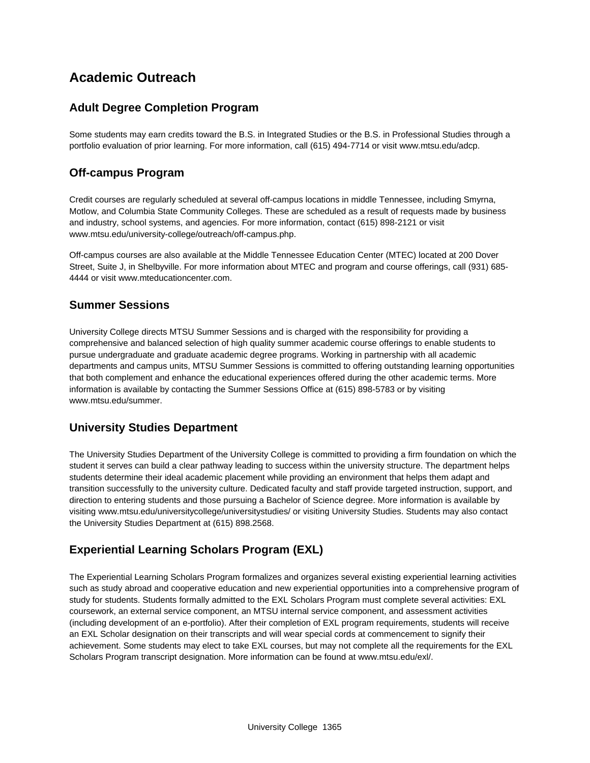## **Academic Outreach**

## **Adult Degree Completion Program**

Some students may earn credits toward the B.S. in Integrated Studies or the B.S. in Professional Studies through a portfolio evaluation of prior learning. For more information, call (615) 494-7714 or visit www.mtsu.edu/adcp.

## **Off-campus Program**

Credit courses are regularly scheduled at several off-campus locations in middle Tennessee, including Smyrna, Motlow, and Columbia State Community Colleges. These are scheduled as a result of requests made by business and industry, school systems, and agencies. For more information, contact (615) 898-2121 or visit www.mtsu.edu/university-college/outreach/off-campus.php.

Off-campus courses are also available at the Middle Tennessee Education Center (MTEC) located at 200 Dover Street, Suite J, in Shelbyville. For more information about MTEC and program and course offerings, call (931) 685- 4444 or visit www.mteducationcenter.com.

### **Summer Sessions**

University College directs MTSU Summer Sessions and is charged with the responsibility for providing a comprehensive and balanced selection of high quality summer academic course offerings to enable students to pursue undergraduate and graduate academic degree programs. Working in partnership with all academic departments and campus units, MTSU Summer Sessions is committed to offering outstanding learning opportunities that both complement and enhance the educational experiences offered during the other academic terms. More information is available by contacting the Summer Sessions Office at (615) 898-5783 or by visiting www.mtsu.edu/summer.

## **University Studies Department**

The University Studies Department of the University College is committed to providing a firm foundation on which the student it serves can build a clear pathway leading to success within the university structure. The department helps students determine their ideal academic placement while providing an environment that helps them adapt and transition successfully to the university culture. Dedicated faculty and staff provide targeted instruction, support, and direction to entering students and those pursuing a Bachelor of Science degree. More information is available by visiting www.mtsu.edu/universitycollege/universitystudies/ or visiting University Studies. Students may also contact the University Studies Department at (615) 898.2568.

## **Experiential Learning Scholars Program (EXL)**

The Experiential Learning Scholars Program formalizes and organizes several existing experiential learning activities such as study abroad and cooperative education and new experiential opportunities into a comprehensive program of study for students. Students formally admitted to the EXL Scholars Program must complete several activities: EXL coursework, an external service component, an MTSU internal service component, and assessment activities (including development of an e-portfolio). After their completion of EXL program requirements, students will receive an EXL Scholar designation on their transcripts and will wear special cords at commencement to signify their achievement. Some students may elect to take EXL courses, but may not complete all the requirements for the EXL Scholars Program transcript designation. More information can be found at www.mtsu.edu/exl/.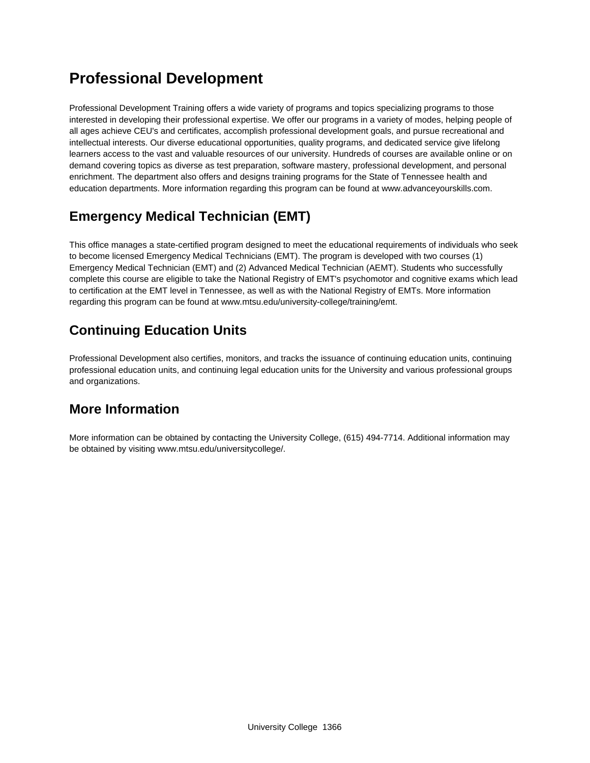# **Professional Development**

Professional Development Training offers a wide variety of programs and topics specializing programs to those interested in developing their professional expertise. We offer our programs in a variety of modes, helping people of all ages achieve CEU's and certificates, accomplish professional development goals, and pursue recreational and intellectual interests. Our diverse educational opportunities, quality programs, and dedicated service give lifelong learners access to the vast and valuable resources of our university. Hundreds of courses are available online or on demand covering topics as diverse as test preparation, software mastery, professional development, and personal enrichment. The department also offers and designs training programs for the State of Tennessee health and education departments. More information regarding this program can be found at www.advanceyourskills.com.

## **Emergency Medical Technician (EMT)**

This office manages a state-certified program designed to meet the educational requirements of individuals who seek to become licensed Emergency Medical Technicians (EMT). The program is developed with two courses (1) Emergency Medical Technician (EMT) and (2) Advanced Medical Technician (AEMT). Students who successfully complete this course are eligible to take the National Registry of EMT's psychomotor and cognitive exams which lead to certification at the EMT level in Tennessee, as well as with the National Registry of EMTs. More information regarding this program can be found at www.mtsu.edu/university-college/training/emt.

# **Continuing Education Units**

Professional Development also certifies, monitors, and tracks the issuance of continuing education units, continuing professional education units, and continuing legal education units for the University and various professional groups and organizations.

## **More Information**

More information can be obtained by contacting the University College, (615) 494-7714. Additional information may be obtained by visiting www.mtsu.edu/universitycollege/.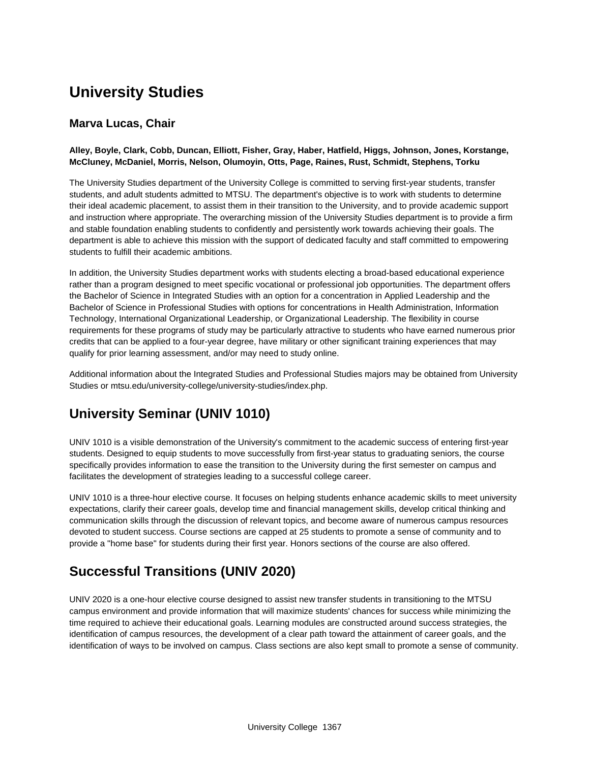# **University Studies**

## **Marva Lucas, Chair**

#### **Alley, Boyle, Clark, Cobb, Duncan, Elliott, Fisher, Gray, Haber, Hatfield, Higgs, Johnson, Jones, Korstange, McCluney, McDaniel, Morris, Nelson, Olumoyin, Otts, Page, Raines, Rust, Schmidt, Stephens, Torku**

The University Studies department of the University College is committed to serving first-year students, transfer students, and adult students admitted to MTSU. The department's objective is to work with students to determine their ideal academic placement, to assist them in their transition to the University, and to provide academic support and instruction where appropriate. The overarching mission of the University Studies department is to provide a firm and stable foundation enabling students to confidently and persistently work towards achieving their goals. The department is able to achieve this mission with the support of dedicated faculty and staff committed to empowering students to fulfill their academic ambitions.

In addition, the University Studies department works with students electing a broad-based educational experience rather than a program designed to meet specific vocational or professional job opportunities. The department offers the Bachelor of Science in Integrated Studies with an option for a concentration in Applied Leadership and the Bachelor of Science in Professional Studies with options for concentrations in Health Administration, Information Technology, International Organizational Leadership, or Organizational Leadership. The flexibility in course requirements for these programs of study may be particularly attractive to students who have earned numerous prior credits that can be applied to a four-year degree, have military or other significant training experiences that may qualify for prior learning assessment, and/or may need to study online.

Additional information about the Integrated Studies and Professional Studies majors may be obtained from University Studies or mtsu.edu/university-college/university-studies/index.php.

## **University Seminar (UNIV 1010)**

UNIV 1010 is a visible demonstration of the University's commitment to the academic success of entering first-year students. Designed to equip students to move successfully from first-year status to graduating seniors, the course specifically provides information to ease the transition to the University during the first semester on campus and facilitates the development of strategies leading to a successful college career.

UNIV 1010 is a three-hour elective course. It focuses on helping students enhance academic skills to meet university expectations, clarify their career goals, develop time and financial management skills, develop critical thinking and communication skills through the discussion of relevant topics, and become aware of numerous campus resources devoted to student success. Course sections are capped at 25 students to promote a sense of community and to provide a "home base" for students during their first year. Honors sections of the course are also offered.

## **Successful Transitions (UNIV 2020)**

UNIV 2020 is a one-hour elective course designed to assist new transfer students in transitioning to the MTSU campus environment and provide information that will maximize students' chances for success while minimizing the time required to achieve their educational goals. Learning modules are constructed around success strategies, the identification of campus resources, the development of a clear path toward the attainment of career goals, and the identification of ways to be involved on campus. Class sections are also kept small to promote a sense of community.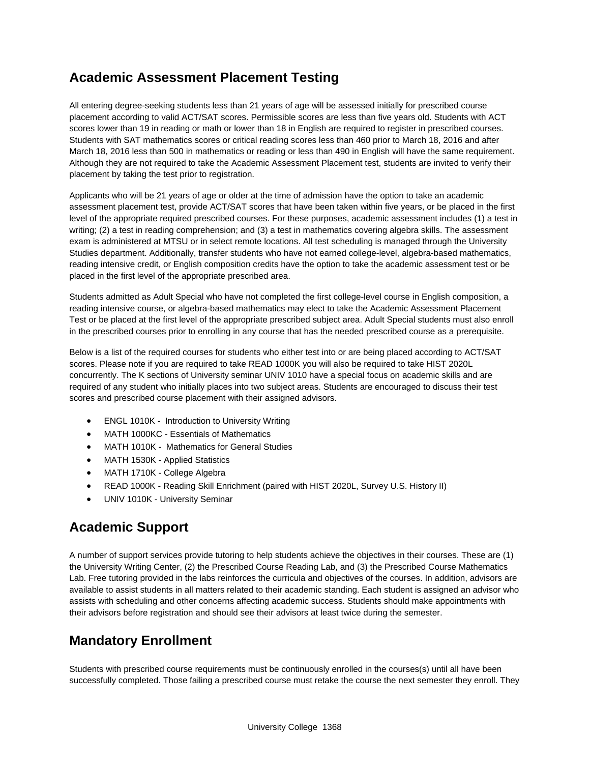## **Academic Assessment Placement Testing**

All entering degree-seeking students less than 21 years of age will be assessed initially for prescribed course placement according to valid ACT/SAT scores. Permissible scores are less than five years old. Students with ACT scores lower than 19 in reading or math or lower than 18 in English are required to register in prescribed courses. Students with SAT mathematics scores or critical reading scores less than 460 prior to March 18, 2016 and after March 18, 2016 less than 500 in mathematics or reading or less than 490 in English will have the same requirement. Although they are not required to take the Academic Assessment Placement test, students are invited to verify their placement by taking the test prior to registration.

Applicants who will be 21 years of age or older at the time of admission have the option to take an academic assessment placement test, provide ACT/SAT scores that have been taken within five years, or be placed in the first level of the appropriate required prescribed courses. For these purposes, academic assessment includes (1) a test in writing; (2) a test in reading comprehension; and (3) a test in mathematics covering algebra skills. The assessment exam is administered at MTSU or in select remote locations. All test scheduling is managed through the University Studies department. Additionally, transfer students who have not earned college-level, algebra-based mathematics, reading intensive credit, or English composition credits have the option to take the academic assessment test or be placed in the first level of the appropriate prescribed area.

Students admitted as Adult Special who have not completed the first college-level course in English composition, a reading intensive course, or algebra-based mathematics may elect to take the Academic Assessment Placement Test or be placed at the first level of the appropriate prescribed subject area. Adult Special students must also enroll in the prescribed courses prior to enrolling in any course that has the needed prescribed course as a prerequisite.

Below is a list of the required courses for students who either test into or are being placed according to ACT/SAT scores. Please note if you are required to take READ 1000K you will also be required to take HIST 2020L concurrently. The K sections of University seminar UNIV 1010 have a special focus on academic skills and are required of any student who initially places into two subject areas. Students are encouraged to discuss their test scores and prescribed course placement with their assigned advisors.

- ENGL 1010K Introduction to University Writing
- MATH 1000KC Essentials of Mathematics
- MATH 1010K Mathematics for General Studies
- MATH 1530K Applied Statistics
- MATH 1710K College Algebra
- READ 1000K Reading Skill Enrichment (paired with HIST 2020L, Survey U.S. History II)
- UNIV 1010K University Seminar

## **Academic Support**

A number of support services provide tutoring to help students achieve the objectives in their courses. These are (1) the University Writing Center, (2) the Prescribed Course Reading Lab, and (3) the Prescribed Course Mathematics Lab. Free tutoring provided in the labs reinforces the curricula and objectives of the courses. In addition, advisors are available to assist students in all matters related to their academic standing. Each student is assigned an advisor who assists with scheduling and other concerns affecting academic success. Students should make appointments with their advisors before registration and should see their advisors at least twice during the semester.

## **Mandatory Enrollment**

Students with prescribed course requirements must be continuously enrolled in the courses(s) until all have been successfully completed. Those failing a prescribed course must retake the course the next semester they enroll. They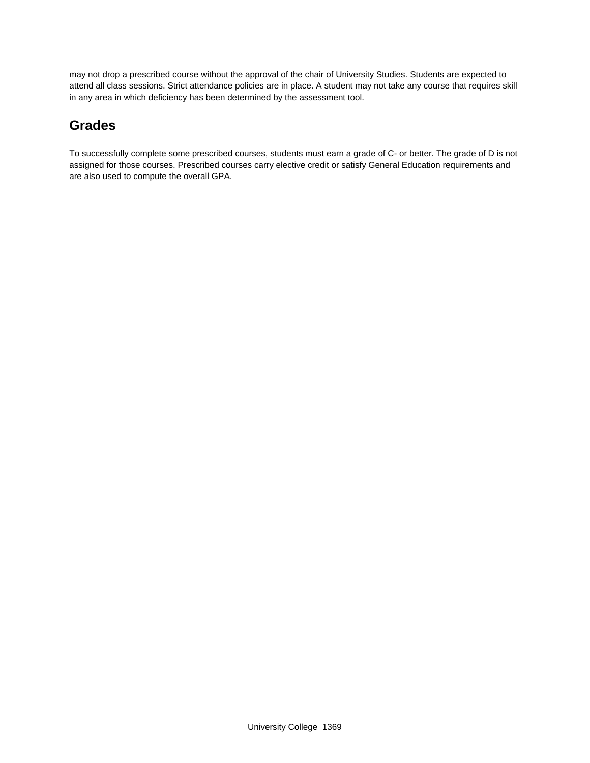may not drop a prescribed course without the approval of the chair of University Studies. Students are expected to attend all class sessions. Strict attendance policies are in place. A student may not take any course that requires skill in any area in which deficiency has been determined by the assessment tool.

## **Grades**

To successfully complete some prescribed courses, students must earn a grade of C- or better. The grade of D is not assigned for those courses. Prescribed courses carry elective credit or satisfy General Education requirements and are also used to compute the overall GPA.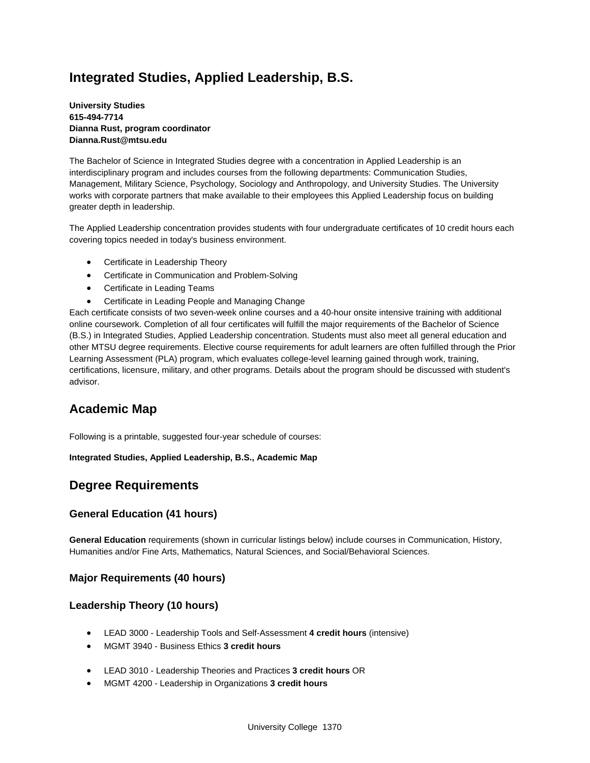## **Integrated Studies, Applied Leadership, B.S.**

**University Studies 615-494-7714 Dianna Rust, program coordinator Dianna.Rust@mtsu.edu**

The Bachelor of Science in Integrated Studies degree with a concentration in Applied Leadership is an interdisciplinary program and includes courses from the following departments: Communication Studies, Management, Military Science, Psychology, Sociology and Anthropology, and University Studies. The University works with corporate partners that make available to their employees this Applied Leadership focus on building greater depth in leadership.

The Applied Leadership concentration provides students with four undergraduate certificates of 10 credit hours each covering topics needed in today's business environment.

- Certificate in Leadership Theory
- Certificate in Communication and Problem-Solving
- Certificate in Leading Teams
- Certificate in Leading People and Managing Change

Each certificate consists of two seven-week online courses and a 40-hour onsite intensive training with additional online coursework. Completion of all four certificates will fulfill the major requirements of the Bachelor of Science (B.S.) in Integrated Studies, Applied Leadership concentration. Students must also meet all general education and other MTSU degree requirements. Elective course requirements for adult learners are often fulfilled through the Prior Learning Assessment (PLA) program, which evaluates college-level learning gained through work, training, certifications, licensure, military, and other programs. Details about the program should be discussed with student's advisor.

## **Academic Map**

Following is a printable, suggested four-year schedule of courses:

**Integrated Studies, Applied Leadership, B.S., Academic Map** 

## **Degree Requirements**

#### **General Education (41 hours)**

**General Education** requirements (shown in curricular listings below) include courses in Communication, History, Humanities and/or Fine Arts, Mathematics, Natural Sciences, and Social/Behavioral Sciences.

#### **Major Requirements (40 hours)**

#### **Leadership Theory (10 hours)**

- LEAD 3000 Leadership Tools and Self-Assessment **4 credit hours** (intensive)
- MGMT 3940 Business Ethics **3 credit hours**
- LEAD 3010 Leadership Theories and Practices **3 credit hours** OR
- MGMT 4200 Leadership in Organizations **3 credit hours**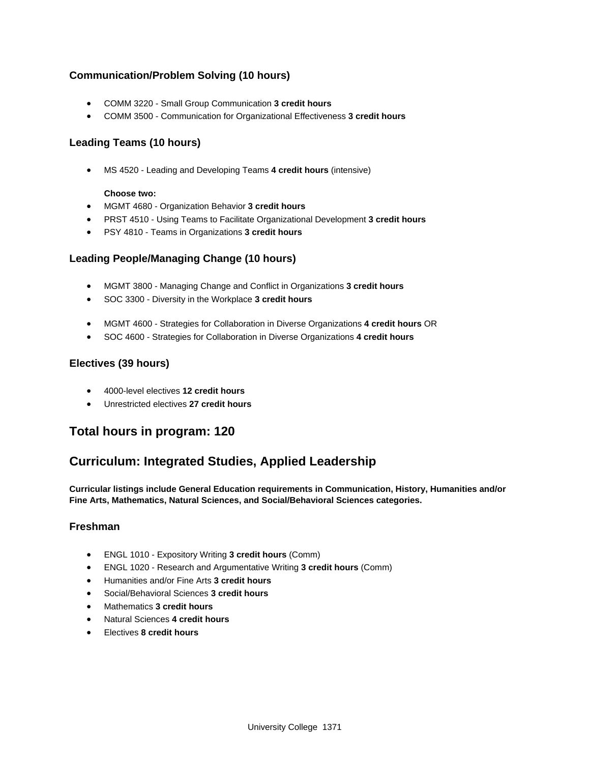### **Communication/Problem Solving (10 hours)**

- COMM 3220 Small Group Communication **3 credit hours**
- COMM 3500 Communication for Organizational Effectiveness **3 credit hours**

### **Leading Teams (10 hours)**

MS 4520 - Leading and Developing Teams **4 credit hours** (intensive)

#### **Choose two:**

- MGMT 4680 Organization Behavior **3 credit hours**
- PRST 4510 Using Teams to Facilitate Organizational Development **3 credit hours**
- PSY 4810 Teams in Organizations **3 credit hours**

### **Leading People/Managing Change (10 hours)**

- MGMT 3800 Managing Change and Conflict in Organizations **3 credit hours**
- SOC 3300 Diversity in the Workplace **3 credit hours**
- MGMT 4600 Strategies for Collaboration in Diverse Organizations **4 credit hours** OR
- SOC 4600 Strategies for Collaboration in Diverse Organizations **4 credit hours**

### **Electives (39 hours)**

- 4000-level electives **12 credit hours**
- Unrestricted electives **27 credit hours**

## **Total hours in program: 120**

## **Curriculum: Integrated Studies, Applied Leadership**

**Curricular listings include General Education requirements in Communication, History, Humanities and/or Fine Arts, Mathematics, Natural Sciences, and Social/Behavioral Sciences categories.**

#### **Freshman**

- ENGL 1010 Expository Writing **3 credit hours** (Comm)
- ENGL 1020 Research and Argumentative Writing **3 credit hours** (Comm)
- Humanities and/or Fine Arts **3 credit hours**
- Social/Behavioral Sciences **3 credit hours**
- Mathematics **3 credit hours**
- Natural Sciences **4 credit hours**
- Electives **8 credit hours**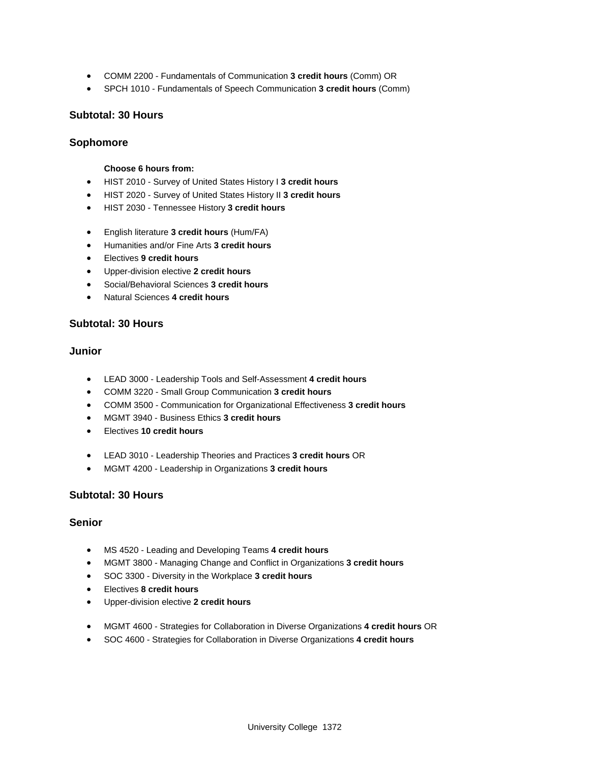- COMM 2200 Fundamentals of Communication **3 credit hours** (Comm) OR
- SPCH 1010 Fundamentals of Speech Communication **3 credit hours** (Comm)

#### **Subtotal: 30 Hours**

#### **Sophomore**

#### **Choose 6 hours from:**

- HIST 2010 Survey of United States History I **3 credit hours**
- HIST 2020 Survey of United States History II **3 credit hours**
- HIST 2030 Tennessee History **3 credit hours**
- English literature **3 credit hours** (Hum/FA)
- Humanities and/or Fine Arts **3 credit hours**
- Electives **9 credit hours**
- Upper-division elective **2 credit hours**
- Social/Behavioral Sciences **3 credit hours**
- Natural Sciences **4 credit hours**

#### **Subtotal: 30 Hours**

#### **Junior**

- LEAD 3000 Leadership Tools and Self-Assessment **4 credit hours**
- COMM 3220 Small Group Communication **3 credit hours**
- COMM 3500 Communication for Organizational Effectiveness **3 credit hours**
- MGMT 3940 Business Ethics **3 credit hours**
- Electives **10 credit hours**
- LEAD 3010 Leadership Theories and Practices **3 credit hours** OR
- MGMT 4200 Leadership in Organizations **3 credit hours**

#### **Subtotal: 30 Hours**

#### **Senior**

- MS 4520 Leading and Developing Teams **4 credit hours**
- MGMT 3800 Managing Change and Conflict in Organizations **3 credit hours**
- SOC 3300 Diversity in the Workplace **3 credit hours**
- Electives **8 credit hours**
- Upper-division elective **2 credit hours**
- MGMT 4600 Strategies for Collaboration in Diverse Organizations **4 credit hours** OR
- SOC 4600 Strategies for Collaboration in Diverse Organizations **4 credit hours**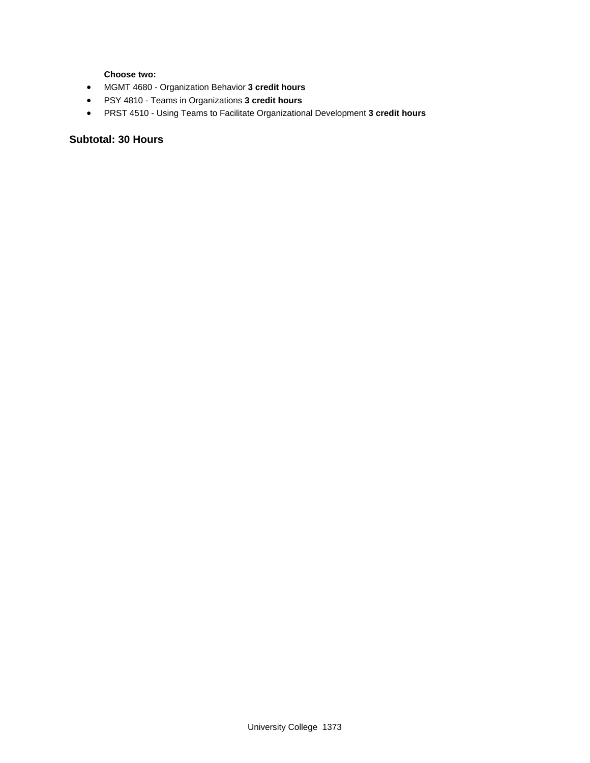**Choose two:** 

- MGMT 4680 Organization Behavior **3 credit hours**
- PSY 4810 Teams in Organizations **3 credit hours**
- PRST 4510 Using Teams to Facilitate Organizational Development **3 credit hours**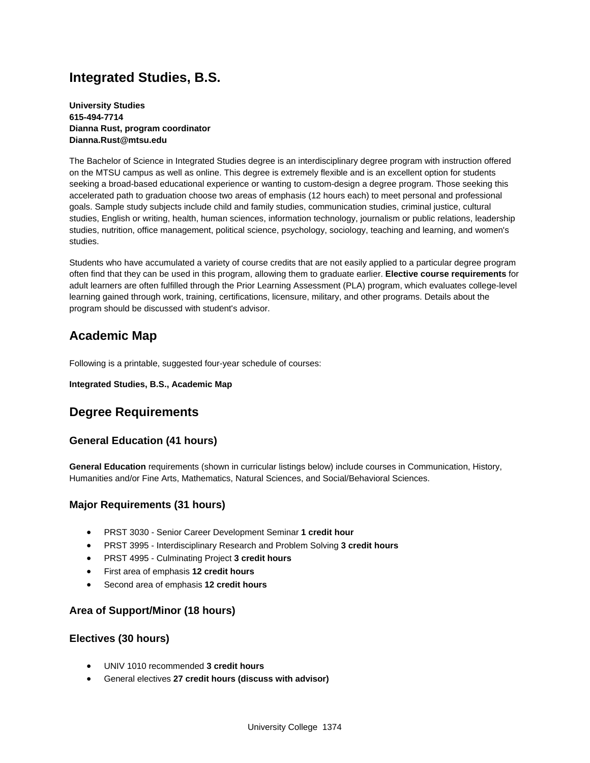## **Integrated Studies, B.S.**

**University Studies 615-494-7714 Dianna Rust, program coordinator Dianna.Rust@mtsu.edu**

The Bachelor of Science in Integrated Studies degree is an interdisciplinary degree program with instruction offered on the MTSU campus as well as online. This degree is extremely flexible and is an excellent option for students seeking a broad-based educational experience or wanting to custom-design a degree program. Those seeking this accelerated path to graduation choose two areas of emphasis (12 hours each) to meet personal and professional goals. Sample study subjects include child and family studies, communication studies, criminal justice, cultural studies, English or writing, health, human sciences, information technology, journalism or public relations, leadership studies, nutrition, office management, political science, psychology, sociology, teaching and learning, and women's studies.

Students who have accumulated a variety of course credits that are not easily applied to a particular degree program often find that they can be used in this program, allowing them to graduate earlier. **Elective course requirements** for adult learners are often fulfilled through the Prior Learning Assessment (PLA) program, which evaluates college-level learning gained through work, training, certifications, licensure, military, and other programs. Details about the program should be discussed with student's advisor.

## **Academic Map**

Following is a printable, suggested four-year schedule of courses:

#### **Integrated Studies, B.S., Academic Map**

## **Degree Requirements**

### **General Education (41 hours)**

**General Education** requirements (shown in curricular listings below) include courses in Communication, History, Humanities and/or Fine Arts, Mathematics, Natural Sciences, and Social/Behavioral Sciences.

#### **Major Requirements (31 hours)**

- PRST 3030 Senior Career Development Seminar **1 credit hour**
- PRST 3995 Interdisciplinary Research and Problem Solving **3 credit hours**
- PRST 4995 Culminating Project **3 credit hours**
- First area of emphasis **12 credit hours**
- Second area of emphasis **12 credit hours**

#### **Area of Support/Minor (18 hours)**

#### **Electives (30 hours)**

- UNIV 1010 recommended **3 credit hours**
- General electives **27 credit hours (discuss with advisor)**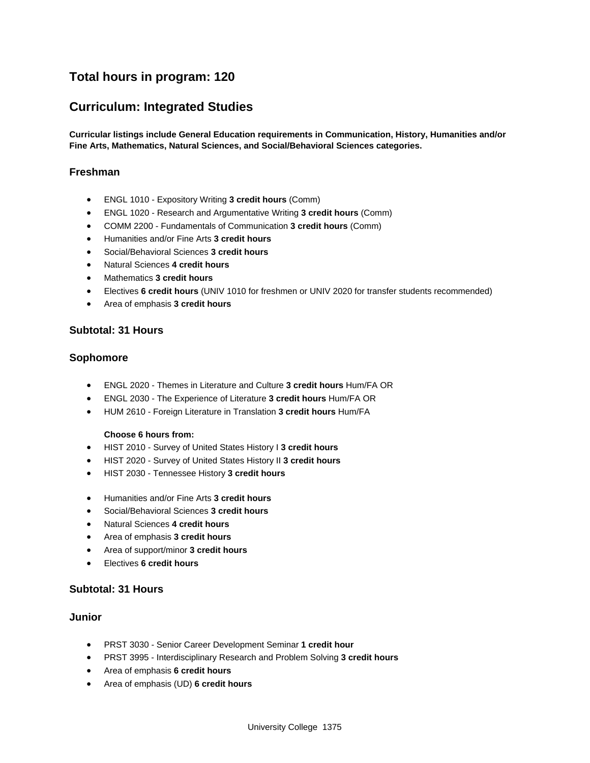## **Total hours in program: 120**

## **Curriculum: Integrated Studies**

**Curricular listings include General Education requirements in Communication, History, Humanities and/or Fine Arts, Mathematics, Natural Sciences, and Social/Behavioral Sciences categories.**

#### **Freshman**

- ENGL 1010 Expository Writing **3 credit hours** (Comm)
- ENGL 1020 Research and Argumentative Writing **3 credit hours** (Comm)
- COMM 2200 Fundamentals of Communication **3 credit hours** (Comm)
- Humanities and/or Fine Arts **3 credit hours**
- Social/Behavioral Sciences **3 credit hours**
- Natural Sciences **4 credit hours**
- Mathematics **3 credit hours**
- Electives **6 credit hours** (UNIV 1010 for freshmen or UNIV 2020 for transfer students recommended)
- Area of emphasis **3 credit hours**

#### **Subtotal: 31 Hours**

#### **Sophomore**

- ENGL 2020 Themes in Literature and Culture **3 credit hours** Hum/FA OR
- ENGL 2030 The Experience of Literature **3 credit hours** Hum/FA OR
- HUM 2610 Foreign Literature in Translation **3 credit hours** Hum/FA

#### **Choose 6 hours from:**

- HIST 2010 Survey of United States History I **3 credit hours**
- HIST 2020 Survey of United States History II **3 credit hours**
- HIST 2030 Tennessee History **3 credit hours**
- Humanities and/or Fine Arts **3 credit hours**
- Social/Behavioral Sciences **3 credit hours**
- Natural Sciences **4 credit hours**
- Area of emphasis **3 credit hours**
- Area of support/minor **3 credit hours**
- Electives **6 credit hours**

#### **Subtotal: 31 Hours**

#### **Junior**

- PRST 3030 Senior Career Development Seminar **1 credit hour**
- PRST 3995 Interdisciplinary Research and Problem Solving **3 credit hours**
- Area of emphasis **6 credit hours**
- Area of emphasis (UD) **6 credit hours**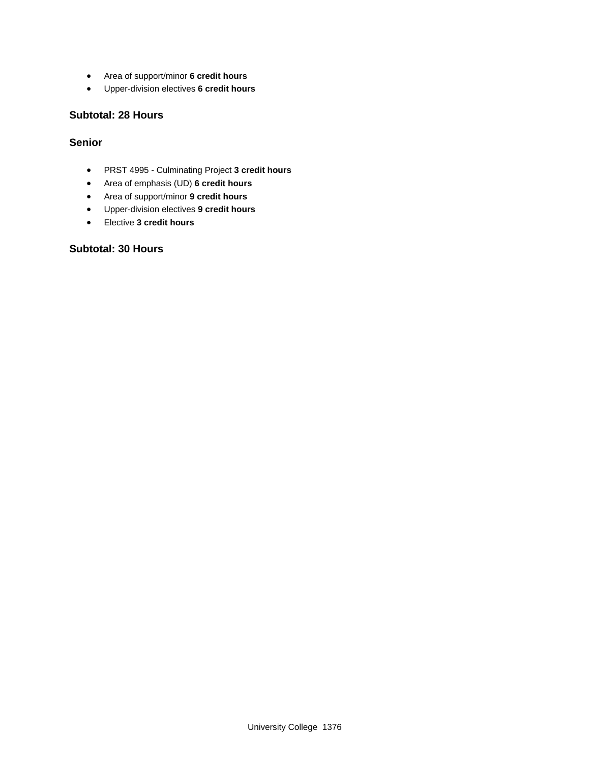- Area of support/minor **6 credit hours**
- Upper-division electives **6 credit hours**

#### **Subtotal: 28 Hours**

#### **Senior**

- PRST 4995 Culminating Project **3 credit hours**
- Area of emphasis (UD) **6 credit hours**
- Area of support/minor **9 credit hours**
- Upper-division electives **9 credit hours**
- Elective **3 credit hours**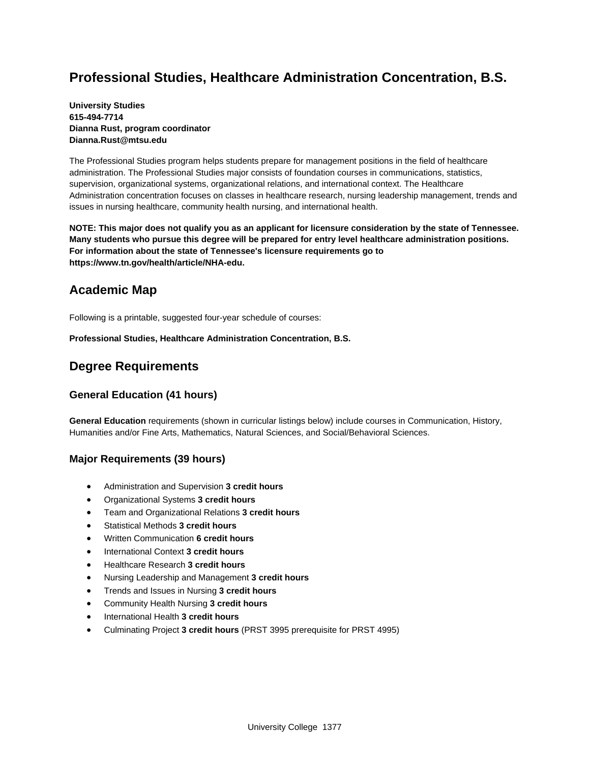## **Professional Studies, Healthcare Administration Concentration, B.S.**

#### **University Studies 615-494-7714 Dianna Rust, program coordinator Dianna.Rust@mtsu.edu**

The Professional Studies program helps students prepare for management positions in the field of healthcare administration. The Professional Studies major consists of foundation courses in communications, statistics, supervision, organizational systems, organizational relations, and international context. The Healthcare Administration concentration focuses on classes in healthcare research, nursing leadership management, trends and issues in nursing healthcare, community health nursing, and international health.

**NOTE: This major does not qualify you as an applicant for licensure consideration by the state of Tennessee. Many students who pursue this degree will be prepared for entry level healthcare administration positions. For information about the state of Tennessee's licensure requirements go to https://www.tn.gov/health/article/NHA-edu.**

## **Academic Map**

Following is a printable, suggested four-year schedule of courses:

**Professional Studies, Healthcare Administration Concentration, B.S.** 

## **Degree Requirements**

### **General Education (41 hours)**

**General Education** requirements (shown in curricular listings below) include courses in Communication, History, Humanities and/or Fine Arts, Mathematics, Natural Sciences, and Social/Behavioral Sciences.

### **Major Requirements (39 hours)**

- Administration and Supervision **3 credit hours**
- Organizational Systems **3 credit hours**
- Team and Organizational Relations **3 credit hours**
- Statistical Methods **3 credit hours**
- Written Communication **6 credit hours**
- International Context **3 credit hours**
- Healthcare Research **3 credit hours**
- Nursing Leadership and Management **3 credit hours**
- Trends and Issues in Nursing **3 credit hours**
- Community Health Nursing **3 credit hours**
- International Health **3 credit hours**
- Culminating Project **3 credit hours** (PRST 3995 prerequisite for PRST 4995)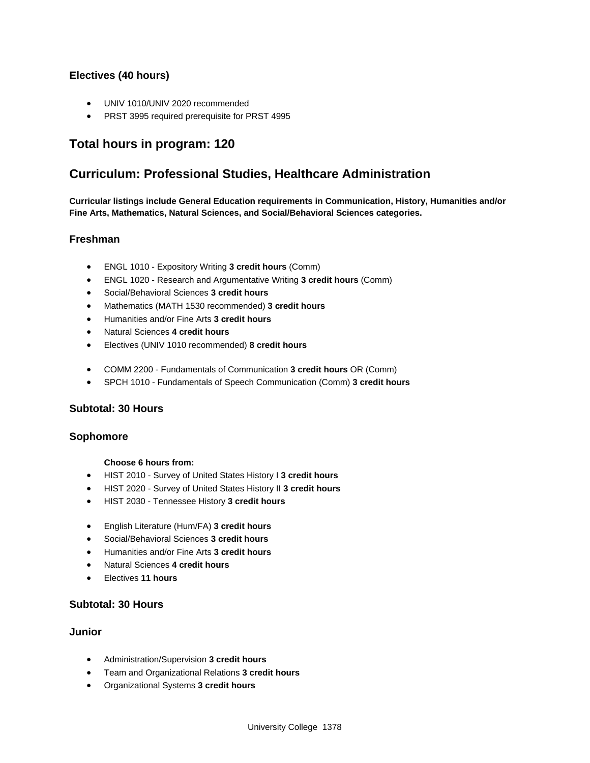### **Electives (40 hours)**

- UNIV 1010/UNIV 2020 recommended
- PRST 3995 required prerequisite for PRST 4995

## **Total hours in program: 120**

## **Curriculum: Professional Studies, Healthcare Administration**

**Curricular listings include General Education requirements in Communication, History, Humanities and/or Fine Arts, Mathematics, Natural Sciences, and Social/Behavioral Sciences categories.**

#### **Freshman**

- ENGL 1010 Expository Writing **3 credit hours** (Comm)
- ENGL 1020 Research and Argumentative Writing **3 credit hours** (Comm)
- Social/Behavioral Sciences **3 credit hours**
- Mathematics (MATH 1530 recommended) **3 credit hours**
- Humanities and/or Fine Arts **3 credit hours**
- Natural Sciences **4 credit hours**
- Electives (UNIV 1010 recommended) **8 credit hours**
- COMM 2200 Fundamentals of Communication **3 credit hours** OR (Comm)
- SPCH 1010 Fundamentals of Speech Communication (Comm) **3 credit hours**

#### **Subtotal: 30 Hours**

#### **Sophomore**

#### **Choose 6 hours from:**

- HIST 2010 Survey of United States History I **3 credit hours**
- HIST 2020 Survey of United States History II **3 credit hours**
- HIST 2030 Tennessee History **3 credit hours**
- English Literature (Hum/FA) **3 credit hours**
- Social/Behavioral Sciences **3 credit hours**
- Humanities and/or Fine Arts **3 credit hours**
- Natural Sciences **4 credit hours**
- Electives **11 hours**

### **Subtotal: 30 Hours**

#### **Junior**

- Administration/Supervision **3 credit hours**
- Team and Organizational Relations **3 credit hours**
- Organizational Systems **3 credit hours**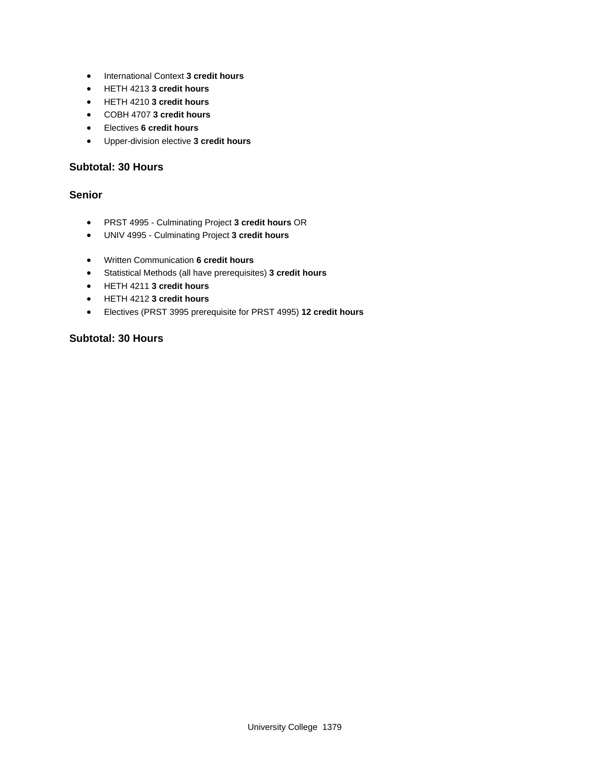- International Context **3 credit hours**
- HETH 4213 **3 credit hours**
- HETH 4210 **3 credit hours**
- COBH 4707 **3 credit hours**
- Electives **6 credit hours**
- Upper-division elective **3 credit hours**

### **Subtotal: 30 Hours**

### **Senior**

- PRST 4995 Culminating Project **3 credit hours** OR
- UNIV 4995 Culminating Project **3 credit hours**
- Written Communication **6 credit hours**
- Statistical Methods (all have prerequisites) **3 credit hours**
- HETH 4211 **3 credit hours**
- HETH 4212 **3 credit hours**
- Electives (PRST 3995 prerequisite for PRST 4995) **12 credit hours**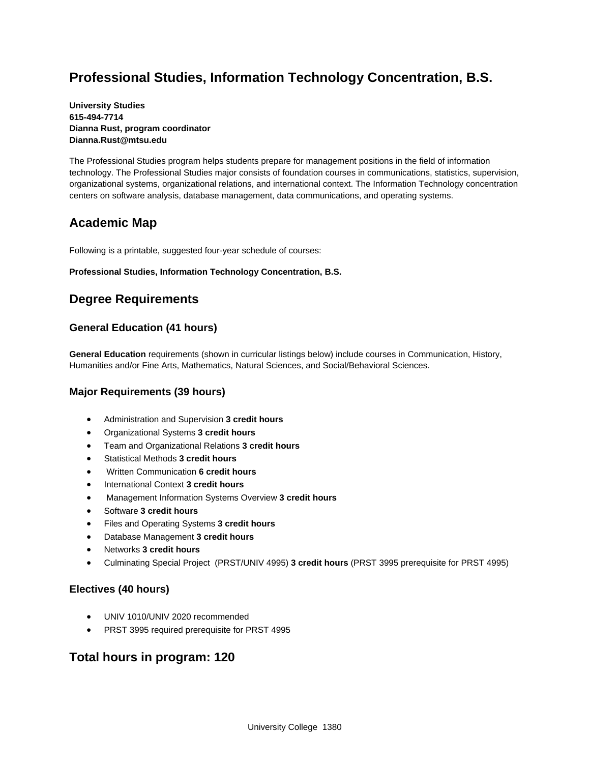## **Professional Studies, Information Technology Concentration, B.S.**

#### **University Studies 615-494-7714 Dianna Rust, program coordinator Dianna.Rust@mtsu.edu**

The Professional Studies program helps students prepare for management positions in the field of information technology. The Professional Studies major consists of foundation courses in communications, statistics, supervision, organizational systems, organizational relations, and international context. The Information Technology concentration centers on software analysis, database management, data communications, and operating systems.

## **Academic Map**

Following is a printable, suggested four-year schedule of courses:

#### **Professional Studies, Information Technology Concentration, B.S.**

## **Degree Requirements**

### **General Education (41 hours)**

**General Education** requirements (shown in curricular listings below) include courses in Communication, History, Humanities and/or Fine Arts, Mathematics, Natural Sciences, and Social/Behavioral Sciences.

#### **Major Requirements (39 hours)**

- Administration and Supervision **3 credit hours**
- Organizational Systems **3 credit hours**
- Team and Organizational Relations **3 credit hours**
- Statistical Methods **3 credit hours**
- Written Communication **6 credit hours**
- International Context **3 credit hours**
- Management Information Systems Overview **3 credit hours**
- Software **3 credit hours**
- Files and Operating Systems **3 credit hours**
- Database Management **3 credit hours**
- Networks **3 credit hours**
- Culminating Special Project (PRST/UNIV 4995) **3 credit hours** (PRST 3995 prerequisite for PRST 4995)

#### **Electives (40 hours)**

- UNIV 1010/UNIV 2020 recommended
- PRST 3995 required prerequisite for PRST 4995

## **Total hours in program: 120**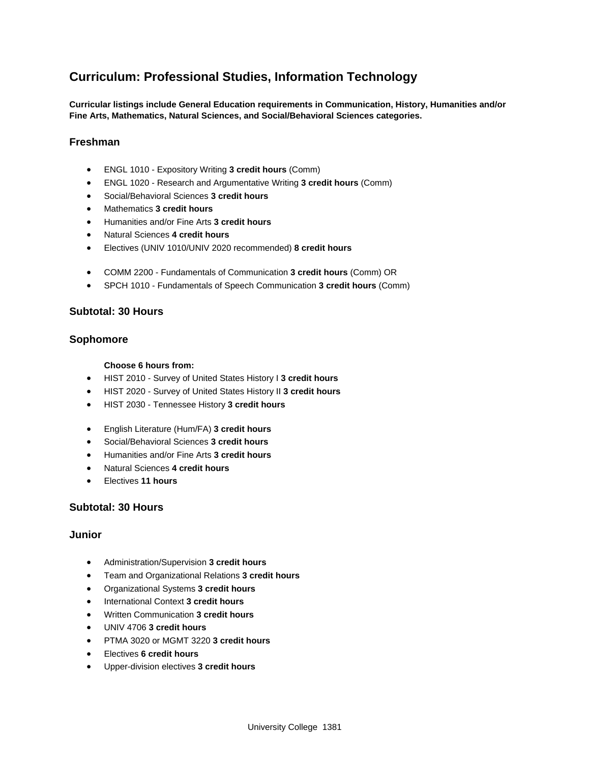## **Curriculum: Professional Studies, Information Technology**

**Curricular listings include General Education requirements in Communication, History, Humanities and/or Fine Arts, Mathematics, Natural Sciences, and Social/Behavioral Sciences categories.**

#### **Freshman**

- ENGL 1010 Expository Writing **3 credit hours** (Comm)
- ENGL 1020 Research and Argumentative Writing **3 credit hours** (Comm)
- Social/Behavioral Sciences **3 credit hours**
- Mathematics **3 credit hours**
- Humanities and/or Fine Arts **3 credit hours**
- Natural Sciences **4 credit hours**
- Electives (UNIV 1010/UNIV 2020 recommended) **8 credit hours**
- COMM 2200 Fundamentals of Communication **3 credit hours** (Comm) OR
- SPCH 1010 Fundamentals of Speech Communication **3 credit hours** (Comm)

#### **Subtotal: 30 Hours**

#### **Sophomore**

#### **Choose 6 hours from:**

- HIST 2010 Survey of United States History I **3 credit hours**
- HIST 2020 Survey of United States History II **3 credit hours**
- HIST 2030 Tennessee History **3 credit hours**
- English Literature (Hum/FA) **3 credit hours**
- Social/Behavioral Sciences **3 credit hours**
- Humanities and/or Fine Arts **3 credit hours**
- Natural Sciences **4 credit hours**
- Electives **11 hours**

#### **Subtotal: 30 Hours**

#### **Junior**

- Administration/Supervision **3 credit hours**
- Team and Organizational Relations **3 credit hours**
- Organizational Systems **3 credit hours**
- International Context **3 credit hours**
- Written Communication **3 credit hours**
- UNIV 4706 **3 credit hours**
- PTMA 3020 or MGMT 3220 **3 credit hours**
- Electives **6 credit hours**
- Upper-division electives **3 credit hours**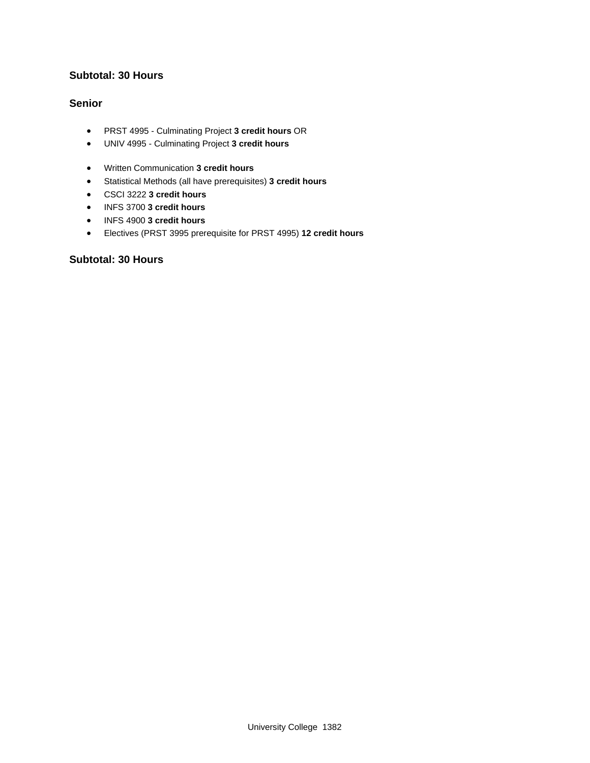### **Subtotal: 30 Hours**

#### **Senior**

- PRST 4995 Culminating Project **3 credit hours** OR
- UNIV 4995 Culminating Project **3 credit hours**
- Written Communication **3 credit hours**
- Statistical Methods (all have prerequisites) **3 credit hours**
- CSCI 3222 **3 credit hours**
- INFS 3700 **3 credit hours**
- INFS 4900 **3 credit hours**
- Electives (PRST 3995 prerequisite for PRST 4995) **12 credit hours**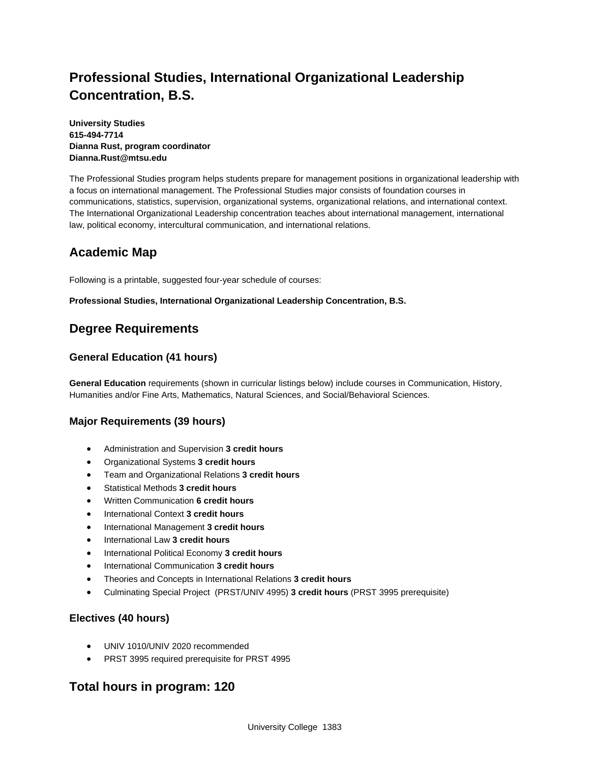## **Professional Studies, International Organizational Leadership Concentration, B.S.**

**University Studies 615-494-7714 Dianna Rust, program coordinator Dianna.Rust@mtsu.edu**

The Professional Studies program helps students prepare for management positions in organizational leadership with a focus on international management. The Professional Studies major consists of foundation courses in communications, statistics, supervision, organizational systems, organizational relations, and international context. The International Organizational Leadership concentration teaches about international management, international law, political economy, intercultural communication, and international relations.

## **Academic Map**

Following is a printable, suggested four-year schedule of courses:

**Professional Studies, International Organizational Leadership Concentration, B.S.** 

## **Degree Requirements**

## **General Education (41 hours)**

**General Education** requirements (shown in curricular listings below) include courses in Communication, History, Humanities and/or Fine Arts, Mathematics, Natural Sciences, and Social/Behavioral Sciences.

### **Major Requirements (39 hours)**

- Administration and Supervision **3 credit hours**
- Organizational Systems **3 credit hours**
- Team and Organizational Relations **3 credit hours**
- Statistical Methods **3 credit hours**
- Written Communication **6 credit hours**
- International Context **3 credit hours**
- **•** International Management 3 credit hours
- International Law **3 credit hours**
- **•** International Political Economy 3 credit hours
- International Communication **3 credit hours**
- Theories and Concepts in International Relations **3 credit hours**
- Culminating Special Project (PRST/UNIV 4995) **3 credit hours** (PRST 3995 prerequisite)

### **Electives (40 hours)**

- UNIV 1010/UNIV 2020 recommended
- PRST 3995 required prerequisite for PRST 4995

## **Total hours in program: 120**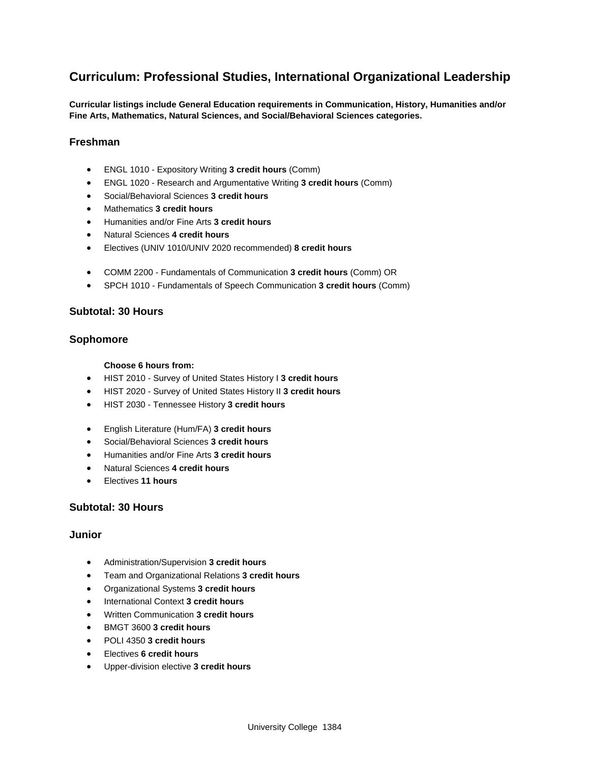## **Curriculum: Professional Studies, International Organizational Leadership**

**Curricular listings include General Education requirements in Communication, History, Humanities and/or Fine Arts, Mathematics, Natural Sciences, and Social/Behavioral Sciences categories.**

#### **Freshman**

- ENGL 1010 Expository Writing **3 credit hours** (Comm)
- ENGL 1020 Research and Argumentative Writing **3 credit hours** (Comm)
- Social/Behavioral Sciences **3 credit hours**
- Mathematics **3 credit hours**
- Humanities and/or Fine Arts **3 credit hours**
- Natural Sciences **4 credit hours**
- Electives (UNIV 1010/UNIV 2020 recommended) **8 credit hours**
- COMM 2200 Fundamentals of Communication **3 credit hours** (Comm) OR
- SPCH 1010 Fundamentals of Speech Communication **3 credit hours** (Comm)

#### **Subtotal: 30 Hours**

#### **Sophomore**

#### **Choose 6 hours from:**

- HIST 2010 Survey of United States History I **3 credit hours**
- HIST 2020 Survey of United States History II **3 credit hours**
- HIST 2030 Tennessee History **3 credit hours**
- English Literature (Hum/FA) **3 credit hours**
- Social/Behavioral Sciences **3 credit hours**
- Humanities and/or Fine Arts **3 credit hours**
- Natural Sciences **4 credit hours**
- Electives **11 hours**

#### **Subtotal: 30 Hours**

#### **Junior**

- Administration/Supervision **3 credit hours**
- Team and Organizational Relations **3 credit hours**
- Organizational Systems **3 credit hours**
- International Context **3 credit hours**
- Written Communication **3 credit hours**
- BMGT 3600 **3 credit hours**
- POLI 4350 **3 credit hours**
- Electives **6 credit hours**
- Upper-division elective **3 credit hours**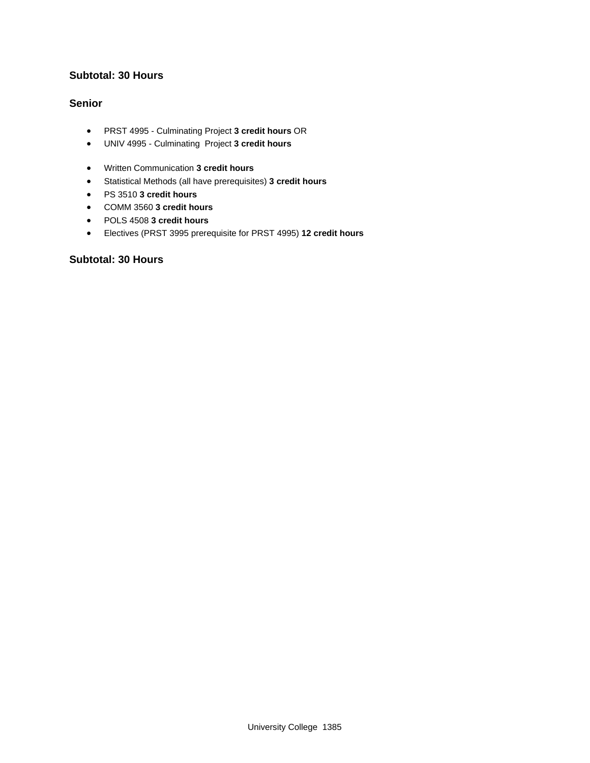### **Subtotal: 30 Hours**

#### **Senior**

- PRST 4995 Culminating Project **3 credit hours** OR
- UNIV 4995 Culminating Project **3 credit hours**
- Written Communication **3 credit hours**
- Statistical Methods (all have prerequisites) **3 credit hours**
- PS 3510 **3 credit hours**
- COMM 3560 **3 credit hours**
- POLS 4508 **3 credit hours**
- Electives (PRST 3995 prerequisite for PRST 4995) **12 credit hours**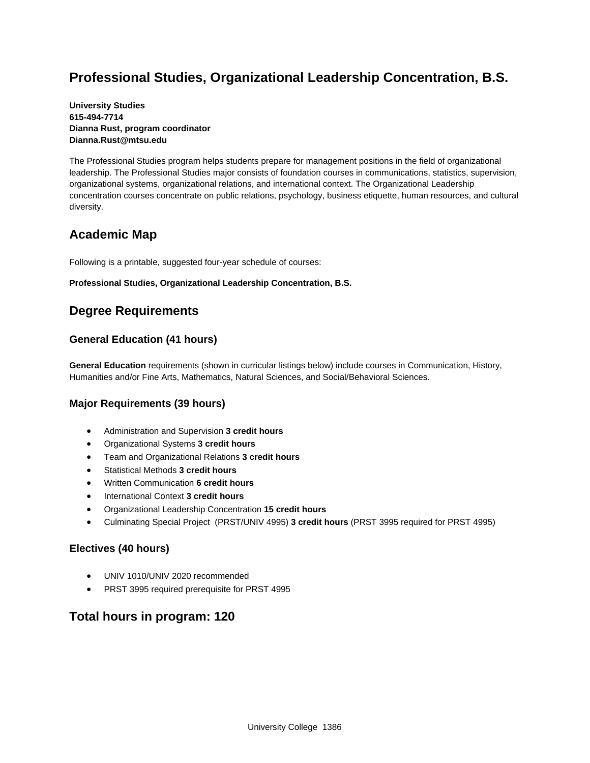## **Professional Studies, Organizational Leadership Concentration, B.S.**

#### **University Studies 615-494-7714 Dianna Rust, program coordinator Dianna.Rust@mtsu.edu**

The Professional Studies program helps students prepare for management positions in the field of organizational leadership. The Professional Studies major consists of foundation courses in communications, statistics, supervision, organizational systems, organizational relations, and international context. The Organizational Leadership concentration courses concentrate on public relations, psychology, business etiquette, human resources, and cultural diversity.

## **Academic Map**

Following is a printable, suggested four-year schedule of courses:

#### **Professional Studies, Organizational Leadership Concentration, B.S.**

## **Degree Requirements**

### **General Education (41 hours)**

**General Education** requirements (shown in curricular listings below) include courses in Communication, History, Humanities and/or Fine Arts, Mathematics, Natural Sciences, and Social/Behavioral Sciences.

### **Major Requirements (39 hours)**

- Administration and Supervision **3 credit hours**
- Organizational Systems **3 credit hours**
- Team and Organizational Relations **3 credit hours**
- Statistical Methods **3 credit hours**
- Written Communication **6 credit hours**
- International Context **3 credit hours**
- Organizational Leadership Concentration **15 credit hours**
- Culminating Special Project (PRST/UNIV 4995) **3 credit hours** (PRST 3995 required for PRST 4995)

### **Electives (40 hours)**

- UNIV 1010/UNIV 2020 recommended
- PRST 3995 required prerequisite for PRST 4995

## **Total hours in program: 120**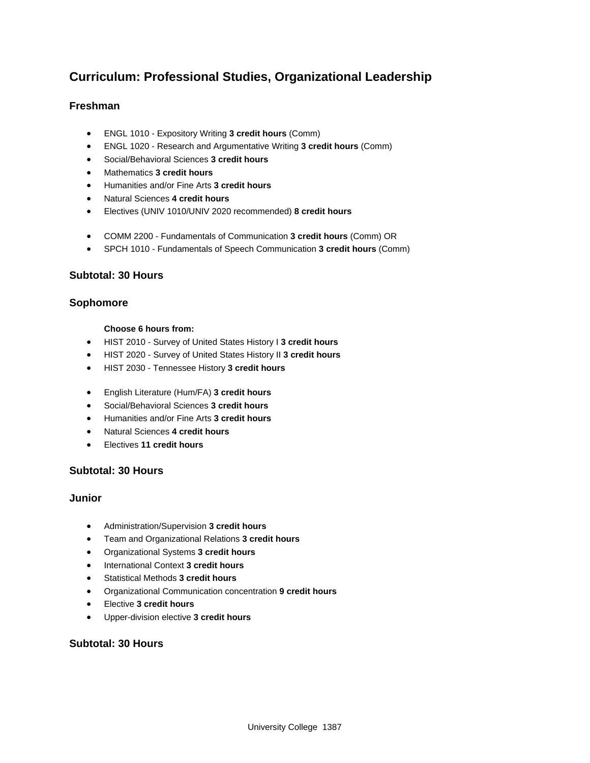## **Curriculum: Professional Studies, Organizational Leadership**

### **Freshman**

- ENGL 1010 Expository Writing **3 credit hours** (Comm)
- ENGL 1020 Research and Argumentative Writing **3 credit hours** (Comm)
- Social/Behavioral Sciences **3 credit hours**
- Mathematics **3 credit hours**
- Humanities and/or Fine Arts **3 credit hours**
- Natural Sciences **4 credit hours**
- Electives (UNIV 1010/UNIV 2020 recommended) **8 credit hours**
- COMM 2200 Fundamentals of Communication **3 credit hours** (Comm) OR
- SPCH 1010 Fundamentals of Speech Communication **3 credit hours** (Comm)

### **Subtotal: 30 Hours**

#### **Sophomore**

#### **Choose 6 hours from:**

- HIST 2010 Survey of United States History I **3 credit hours**
- HIST 2020 Survey of United States History II **3 credit hours**
- HIST 2030 Tennessee History **3 credit hours**
- English Literature (Hum/FA) **3 credit hours**
- Social/Behavioral Sciences **3 credit hours**
- Humanities and/or Fine Arts **3 credit hours**
- Natural Sciences **4 credit hours**
- Electives **11 credit hours**

#### **Subtotal: 30 Hours**

#### **Junior**

- Administration/Supervision **3 credit hours**
- Team and Organizational Relations **3 credit hours**
- Organizational Systems **3 credit hours**
- International Context **3 credit hours**
- Statistical Methods **3 credit hours**
- Organizational Communication concentration **9 credit hours**
- Elective **3 credit hours**
- Upper-division elective **3 credit hours**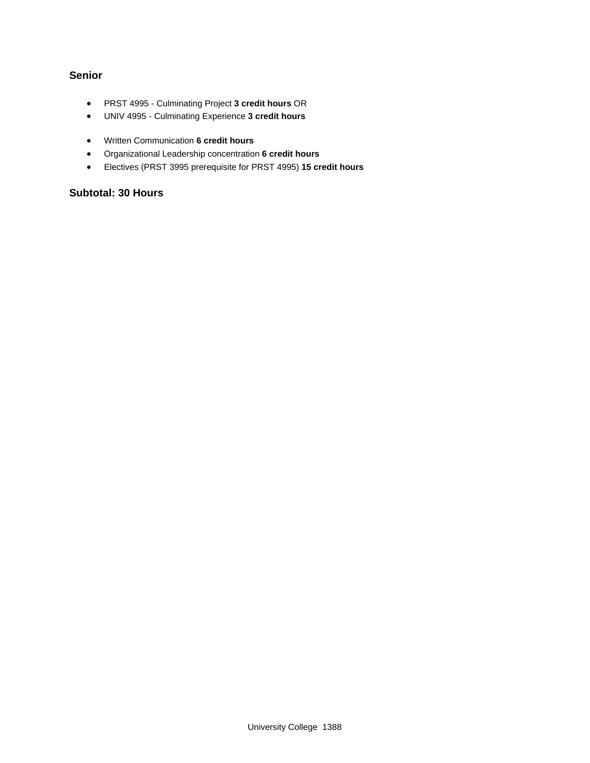### **Senior**

- PRST 4995 Culminating Project **3 credit hours** OR
- UNIV 4995 Culminating Experience **3 credit hours**
- Written Communication **6 credit hours**
- Organizational Leadership concentration **6 credit hours**
- Electives (PRST 3995 prerequisite for PRST 4995) **15 credit hours**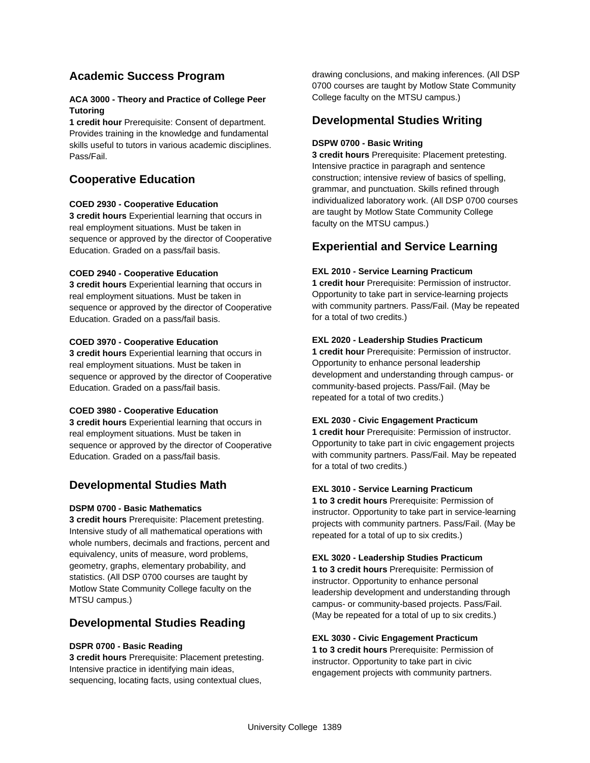## **Academic Success Program**

#### **ACA 3000 - Theory and Practice of College Peer Tutoring**

**1 credit hour** Prerequisite: Consent of department. Provides training in the knowledge and fundamental skills useful to tutors in various academic disciplines. Pass/Fail.

## **Cooperative Education**

#### **COED 2930 - Cooperative Education**

**3 credit hours** Experiential learning that occurs in real employment situations. Must be taken in sequence or approved by the director of Cooperative Education. Graded on a pass/fail basis.

#### **COED 2940 - Cooperative Education**

**3 credit hours** Experiential learning that occurs in real employment situations. Must be taken in sequence or approved by the director of Cooperative Education. Graded on a pass/fail basis.

#### **COED 3970 - Cooperative Education**

**3 credit hours** Experiential learning that occurs in real employment situations. Must be taken in sequence or approved by the director of Cooperative Education. Graded on a pass/fail basis.

#### **COED 3980 - Cooperative Education**

**3 credit hours** Experiential learning that occurs in real employment situations. Must be taken in sequence or approved by the director of Cooperative Education. Graded on a pass/fail basis.

## **Developmental Studies Math**

#### **DSPM 0700 - Basic Mathematics**

**3 credit hours** Prerequisite: Placement pretesting. Intensive study of all mathematical operations with whole numbers, decimals and fractions, percent and equivalency, units of measure, word problems, geometry, graphs, elementary probability, and statistics. (All DSP 0700 courses are taught by Motlow State Community College faculty on the MTSU campus.)

## **Developmental Studies Reading**

#### **DSPR 0700 - Basic Reading**

**3 credit hours** Prerequisite: Placement pretesting. Intensive practice in identifying main ideas, sequencing, locating facts, using contextual clues,

drawing conclusions, and making inferences. (All DSP 0700 courses are taught by Motlow State Community College faculty on the MTSU campus.)

### **Developmental Studies Writing**

#### **DSPW 0700 - Basic Writing**

**3 credit hours** Prerequisite: Placement pretesting. Intensive practice in paragraph and sentence construction; intensive review of basics of spelling, grammar, and punctuation. Skills refined through individualized laboratory work. (All DSP 0700 courses are taught by Motlow State Community College faculty on the MTSU campus.)

## **Experiential and Service Learning**

#### **EXL 2010 - Service Learning Practicum**

**1 credit hour** Prerequisite: Permission of instructor. Opportunity to take part in service-learning projects with community partners. Pass/Fail. (May be repeated for a total of two credits.)

#### **EXL 2020 - Leadership Studies Practicum**

**1 credit hour** Prerequisite: Permission of instructor. Opportunity to enhance personal leadership development and understanding through campus- or community-based projects. Pass/Fail. (May be repeated for a total of two credits.)

#### **EXL 2030 - Civic Engagement Practicum**

**1 credit hour** Prerequisite: Permission of instructor. Opportunity to take part in civic engagement projects with community partners. Pass/Fail. May be repeated for a total of two credits.)

#### **EXL 3010 - Service Learning Practicum**

**1 to 3 credit hours** Prerequisite: Permission of instructor. Opportunity to take part in service-learning projects with community partners. Pass/Fail. (May be repeated for a total of up to six credits.)

#### **EXL 3020 - Leadership Studies Practicum**

**1 to 3 credit hours** Prerequisite: Permission of instructor. Opportunity to enhance personal leadership development and understanding through campus- or community-based projects. Pass/Fail. (May be repeated for a total of up to six credits.)

#### **EXL 3030 - Civic Engagement Practicum**

**1 to 3 credit hours** Prerequisite: Permission of instructor. Opportunity to take part in civic engagement projects with community partners.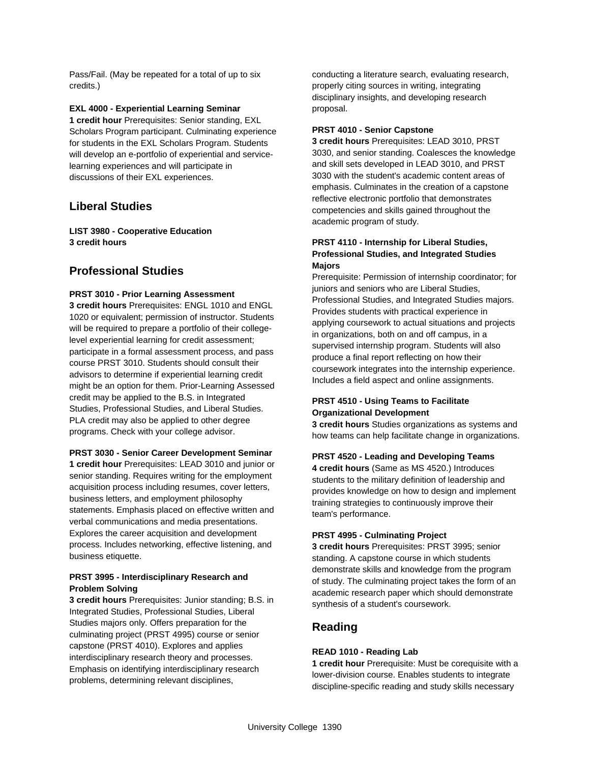Pass/Fail. (May be repeated for a total of up to six credits.)

#### **EXL 4000 - Experiential Learning Seminar**

**1 credit hour** Prerequisites: Senior standing, EXL Scholars Program participant. Culminating experience for students in the EXL Scholars Program. Students will develop an e-portfolio of experiential and servicelearning experiences and will participate in discussions of their EXL experiences.

### **Liberal Studies**

**LIST 3980 - Cooperative Education 3 credit hours**

### **Professional Studies**

#### **PRST 3010 - Prior Learning Assessment**

**3 credit hours** Prerequisites: ENGL 1010 and ENGL 1020 or equivalent; permission of instructor. Students will be required to prepare a portfolio of their collegelevel experiential learning for credit assessment; participate in a formal assessment process, and pass course PRST 3010. Students should consult their advisors to determine if experiential learning credit might be an option for them. Prior-Learning Assessed credit may be applied to the B.S. in Integrated Studies, Professional Studies, and Liberal Studies. PLA credit may also be applied to other degree programs. Check with your college advisor.

#### **PRST 3030 - Senior Career Development Seminar**

**1 credit hour** Prerequisites: LEAD 3010 and junior or senior standing. Requires writing for the employment acquisition process including resumes, cover letters, business letters, and employment philosophy statements. Emphasis placed on effective written and verbal communications and media presentations. Explores the career acquisition and development process. Includes networking, effective listening, and business etiquette.

#### **PRST 3995 - Interdisciplinary Research and Problem Solving**

**3 credit hours** Prerequisites: Junior standing; B.S. in Integrated Studies, Professional Studies, Liberal Studies majors only. Offers preparation for the culminating project (PRST 4995) course or senior capstone (PRST 4010). Explores and applies interdisciplinary research theory and processes. Emphasis on identifying interdisciplinary research problems, determining relevant disciplines,

conducting a literature search, evaluating research, properly citing sources in writing, integrating disciplinary insights, and developing research proposal.

#### **PRST 4010 - Senior Capstone**

**3 credit hours** Prerequisites: LEAD 3010, PRST 3030, and senior standing. Coalesces the knowledge and skill sets developed in LEAD 3010, and PRST 3030 with the student's academic content areas of emphasis. Culminates in the creation of a capstone reflective electronic portfolio that demonstrates competencies and skills gained throughout the academic program of study.

#### **PRST 4110 - Internship for Liberal Studies, Professional Studies, and Integrated Studies Majors**

Prerequisite: Permission of internship coordinator; for juniors and seniors who are Liberal Studies, Professional Studies, and Integrated Studies majors. Provides students with practical experience in applying coursework to actual situations and projects in organizations, both on and off campus, in a supervised internship program. Students will also produce a final report reflecting on how their coursework integrates into the internship experience. Includes a field aspect and online assignments.

#### **PRST 4510 - Using Teams to Facilitate Organizational Development**

**3 credit hours** Studies organizations as systems and how teams can help facilitate change in organizations.

#### **PRST 4520 - Leading and Developing Teams**

**4 credit hours** (Same as MS 4520.) Introduces students to the military definition of leadership and provides knowledge on how to design and implement training strategies to continuously improve their team's performance.

#### **PRST 4995 - Culminating Project**

**3 credit hours** Prerequisites: PRST 3995; senior standing. A capstone course in which students demonstrate skills and knowledge from the program of study. The culminating project takes the form of an academic research paper which should demonstrate synthesis of a student's coursework.

#### **Reading**

#### **READ 1010 - Reading Lab**

**1 credit hour** Prerequisite: Must be corequisite with a lower-division course. Enables students to integrate discipline-specific reading and study skills necessary